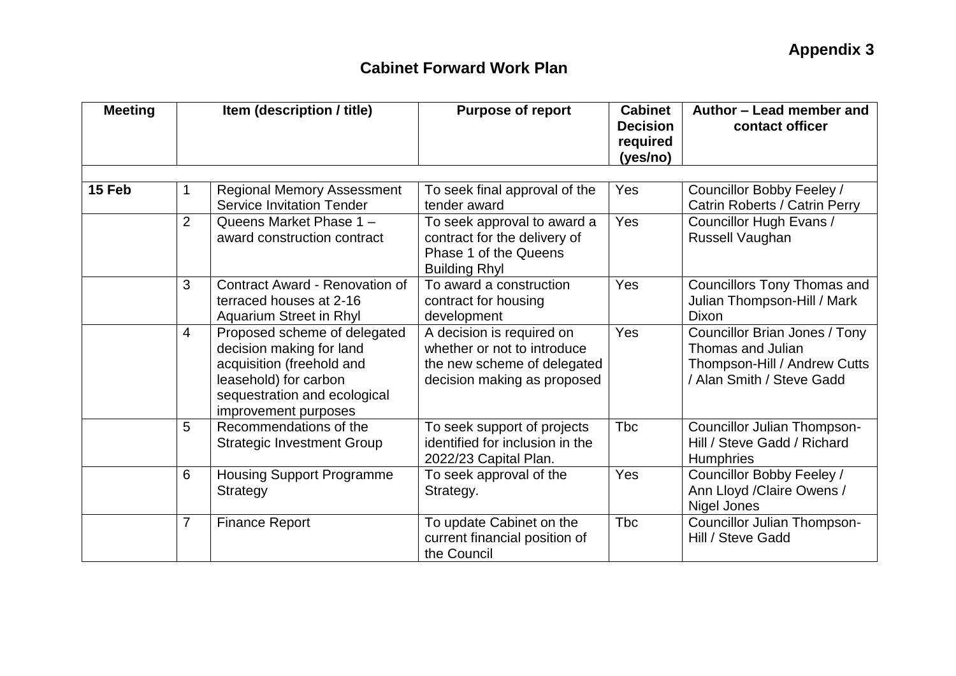| <b>Meeting</b> | Item (description / title) |                                                                                                                                                                        | <b>Purpose of report</b>                                                                                               | <b>Cabinet</b><br><b>Decision</b><br>required<br>(yes/no) | Author - Lead member and<br>contact officer                                                                     |  |
|----------------|----------------------------|------------------------------------------------------------------------------------------------------------------------------------------------------------------------|------------------------------------------------------------------------------------------------------------------------|-----------------------------------------------------------|-----------------------------------------------------------------------------------------------------------------|--|
| 15 Feb         | 1                          | <b>Regional Memory Assessment</b><br><b>Service Invitation Tender</b>                                                                                                  | To seek final approval of the<br>tender award                                                                          | Yes                                                       | Councillor Bobby Feeley /<br>Catrin Roberts / Catrin Perry                                                      |  |
|                | $\overline{2}$             | Queens Market Phase 1 -<br>award construction contract                                                                                                                 | To seek approval to award a<br>contract for the delivery of<br>Phase 1 of the Queens<br><b>Building Rhyl</b>           | Yes                                                       | Councillor Hugh Evans /<br>Russell Vaughan                                                                      |  |
|                | 3                          | Contract Award - Renovation of<br>terraced houses at 2-16<br>Aquarium Street in Rhyl                                                                                   | To award a construction<br>contract for housing<br>development                                                         | Yes                                                       | <b>Councillors Tony Thomas and</b><br>Julian Thompson-Hill / Mark<br>Dixon                                      |  |
|                | 4                          | Proposed scheme of delegated<br>decision making for land<br>acquisition (freehold and<br>leasehold) for carbon<br>sequestration and ecological<br>improvement purposes | A decision is required on<br>whether or not to introduce<br>the new scheme of delegated<br>decision making as proposed | Yes                                                       | Councillor Brian Jones / Tony<br>Thomas and Julian<br>Thompson-Hill / Andrew Cutts<br>/ Alan Smith / Steve Gadd |  |
|                | 5                          | Recommendations of the<br><b>Strategic Investment Group</b>                                                                                                            | To seek support of projects<br>identified for inclusion in the<br>2022/23 Capital Plan.                                | <b>T</b> bc                                               | <b>Councillor Julian Thompson-</b><br>Hill / Steve Gadd / Richard<br><b>Humphries</b>                           |  |
|                | 6                          | <b>Housing Support Programme</b><br>Strategy                                                                                                                           | To seek approval of the<br>Strategy.                                                                                   | Yes                                                       | Councillor Bobby Feeley /<br>Ann Lloyd / Claire Owens /<br>Nigel Jones                                          |  |
|                | $\overline{7}$             | <b>Finance Report</b>                                                                                                                                                  | To update Cabinet on the<br>current financial position of<br>the Council                                               | <b>Tbc</b>                                                | <b>Councillor Julian Thompson-</b><br>Hill / Steve Gadd                                                         |  |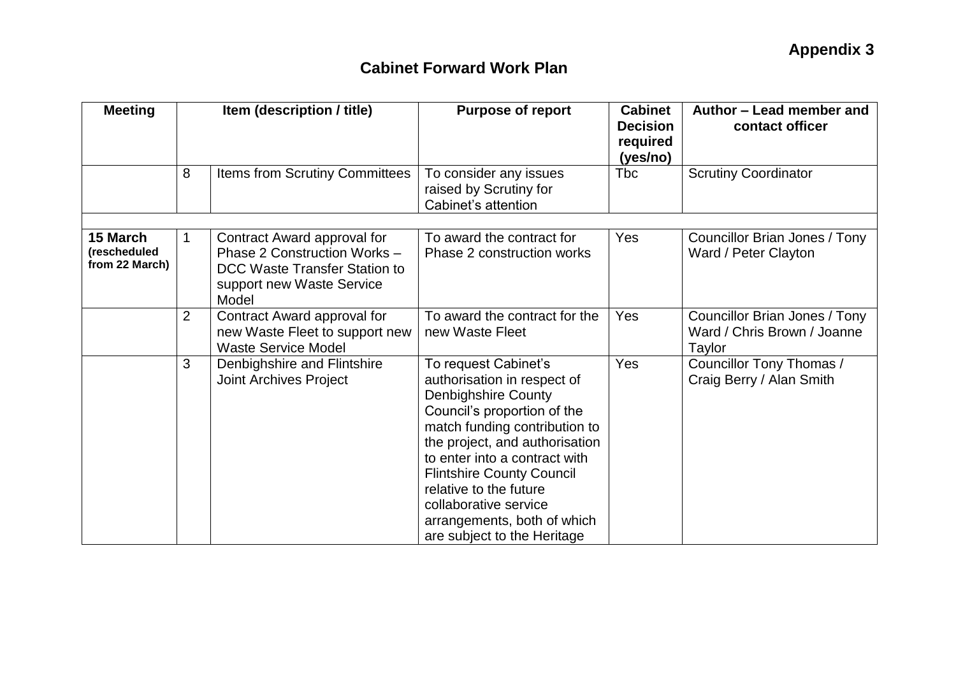| <b>Meeting</b>                             | Item (description / title) |                                                                                                                                           | <b>Purpose of report</b>                                                                                                                                                                                                                                                                                                                                                  | <b>Cabinet</b><br><b>Decision</b><br>required<br>(yes/no) | Author - Lead member and<br>contact officer                            |
|--------------------------------------------|----------------------------|-------------------------------------------------------------------------------------------------------------------------------------------|---------------------------------------------------------------------------------------------------------------------------------------------------------------------------------------------------------------------------------------------------------------------------------------------------------------------------------------------------------------------------|-----------------------------------------------------------|------------------------------------------------------------------------|
|                                            | 8                          | Items from Scrutiny Committees                                                                                                            | To consider any issues<br>raised by Scrutiny for<br>Cabinet's attention                                                                                                                                                                                                                                                                                                   | <b>Tbc</b>                                                | <b>Scrutiny Coordinator</b>                                            |
| 15 March<br>(rescheduled<br>from 22 March) |                            | Contract Award approval for<br>Phase 2 Construction Works -<br><b>DCC Waste Transfer Station to</b><br>support new Waste Service<br>Model | To award the contract for<br>Phase 2 construction works                                                                                                                                                                                                                                                                                                                   | <b>Yes</b>                                                | Councillor Brian Jones / Tony<br>Ward / Peter Clayton                  |
|                                            | 2                          | Contract Award approval for<br>new Waste Fleet to support new<br><b>Waste Service Model</b>                                               | To award the contract for the<br>new Waste Fleet                                                                                                                                                                                                                                                                                                                          | Yes                                                       | Councillor Brian Jones / Tony<br>Ward / Chris Brown / Joanne<br>Taylor |
|                                            | 3                          | Denbighshire and Flintshire<br><b>Joint Archives Project</b>                                                                              | To request Cabinet's<br>authorisation in respect of<br><b>Denbighshire County</b><br>Council's proportion of the<br>match funding contribution to<br>the project, and authorisation<br>to enter into a contract with<br><b>Flintshire County Council</b><br>relative to the future<br>collaborative service<br>arrangements, both of which<br>are subject to the Heritage | Yes                                                       | Councillor Tony Thomas /<br>Craig Berry / Alan Smith                   |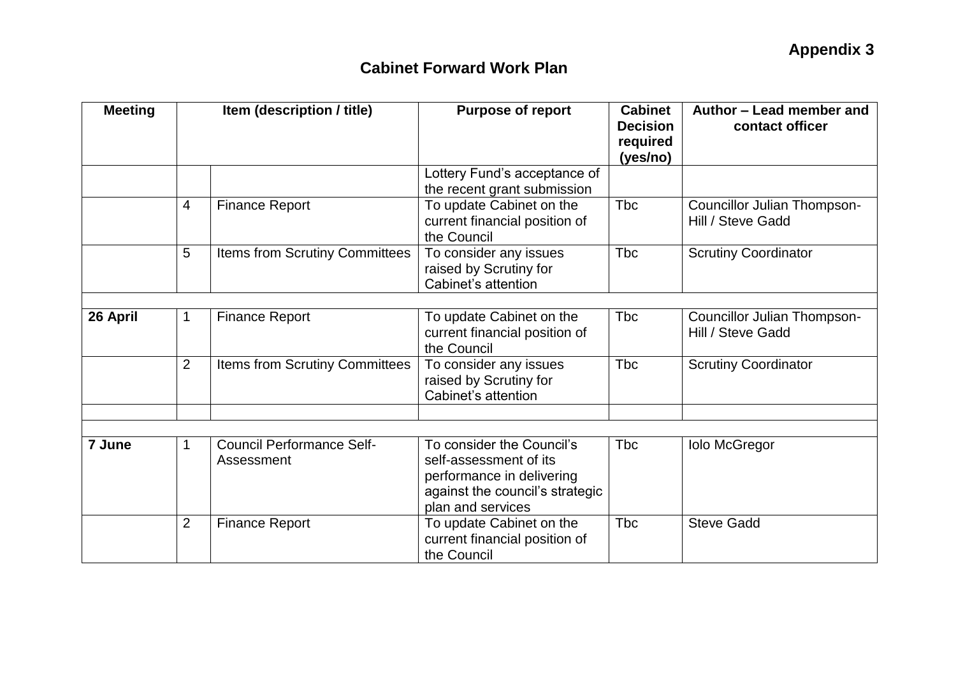| <b>Meeting</b> | Item (description / title) |                                                | <b>Purpose of report</b>                                                                                                                 | <b>Cabinet</b><br><b>Decision</b><br>required<br>(yes/no) | Author - Lead member and<br>contact officer      |  |
|----------------|----------------------------|------------------------------------------------|------------------------------------------------------------------------------------------------------------------------------------------|-----------------------------------------------------------|--------------------------------------------------|--|
|                |                            |                                                | Lottery Fund's acceptance of<br>the recent grant submission                                                                              |                                                           |                                                  |  |
|                | $\overline{4}$             | <b>Finance Report</b>                          | To update Cabinet on the<br>current financial position of<br>the Council                                                                 | Tbc                                                       | Councillor Julian Thompson-<br>Hill / Steve Gadd |  |
|                | 5                          | Items from Scrutiny Committees                 | To consider any issues<br>raised by Scrutiny for<br>Cabinet's attention                                                                  | <b>T</b> bc                                               | <b>Scrutiny Coordinator</b>                      |  |
|                |                            |                                                |                                                                                                                                          |                                                           |                                                  |  |
| 26 April       | $\mathbf 1$                | <b>Finance Report</b>                          | To update Cabinet on the<br>current financial position of<br>the Council                                                                 | <b>Tbc</b>                                                | Councillor Julian Thompson-<br>Hill / Steve Gadd |  |
|                | 2                          | Items from Scrutiny Committees                 | To consider any issues<br>raised by Scrutiny for<br>Cabinet's attention                                                                  | <b>T</b> bc                                               | <b>Scrutiny Coordinator</b>                      |  |
|                |                            |                                                |                                                                                                                                          |                                                           |                                                  |  |
|                |                            |                                                |                                                                                                                                          |                                                           |                                                  |  |
| 7 June         | 1                          | <b>Council Performance Self-</b><br>Assessment | To consider the Council's<br>self-assessment of its<br>performance in delivering<br>against the council's strategic<br>plan and services | <b>T</b> bc                                               | <b>Iolo McGregor</b>                             |  |
|                | 2                          | <b>Finance Report</b>                          | To update Cabinet on the<br>current financial position of<br>the Council                                                                 | <b>T</b> bc                                               | <b>Steve Gadd</b>                                |  |